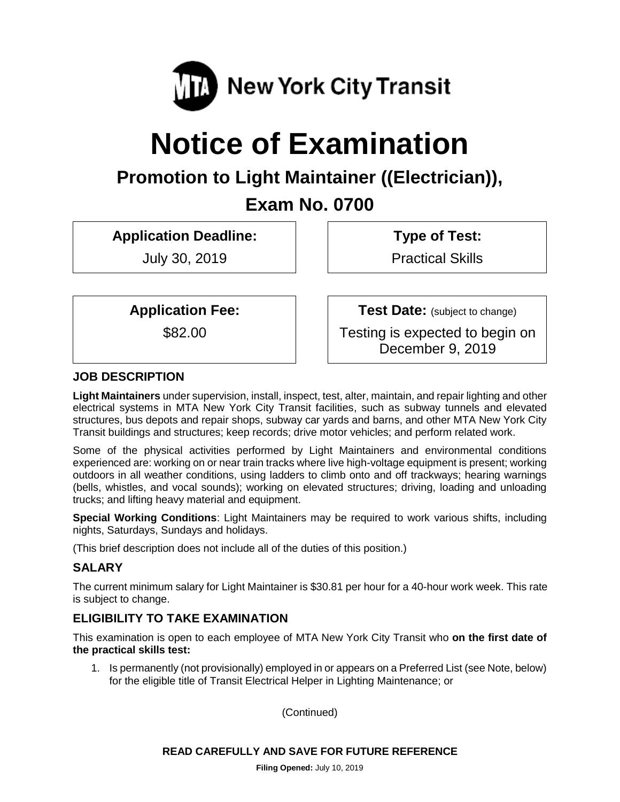

# **Notice of Examination**

# **Promotion to Light Maintainer ((Electrician)),**

**Exam No. 0700**

**Application Deadline:**

July 30, 2019

**Type of Test:** 

Practical Skills

**Application Fee:**

\$82.00

**Test Date:** (subject to change)

Testing is expected to begin on December 9, 2019

# **JOB DESCRIPTION**

**Light Maintainers** under supervision, install, inspect, test, alter, maintain, and repair lighting and other electrical systems in MTA New York City Transit facilities, such as subway tunnels and elevated structures, bus depots and repair shops, subway car yards and barns, and other MTA New York City Transit buildings and structures; keep records; drive motor vehicles; and perform related work.

Some of the physical activities performed by Light Maintainers and environmental conditions experienced are: working on or near train tracks where live high-voltage equipment is present; working outdoors in all weather conditions, using ladders to climb onto and off trackways; hearing warnings (bells, whistles, and vocal sounds); working on elevated structures; driving, loading and unloading trucks; and lifting heavy material and equipment.

**Special Working Conditions**: Light Maintainers may be required to work various shifts, including nights, Saturdays, Sundays and holidays.

(This brief description does not include all of the duties of this position.)

# **SALARY**

The current minimum salary for Light Maintainer is \$30.81 per hour for a 40-hour work week. This rate is subject to change.

# **ELIGIBILITY TO TAKE EXAMINATION**

This examination is open to each employee of MTA New York City Transit who **on the first date of the practical skills test:**

1. Is permanently (not provisionally) employed in or appears on a Preferred List (see Note, below) for the eligible title of Transit Electrical Helper in Lighting Maintenance; or

(Continued)

# **READ CAREFULLY AND SAVE FOR FUTURE REFERENCE**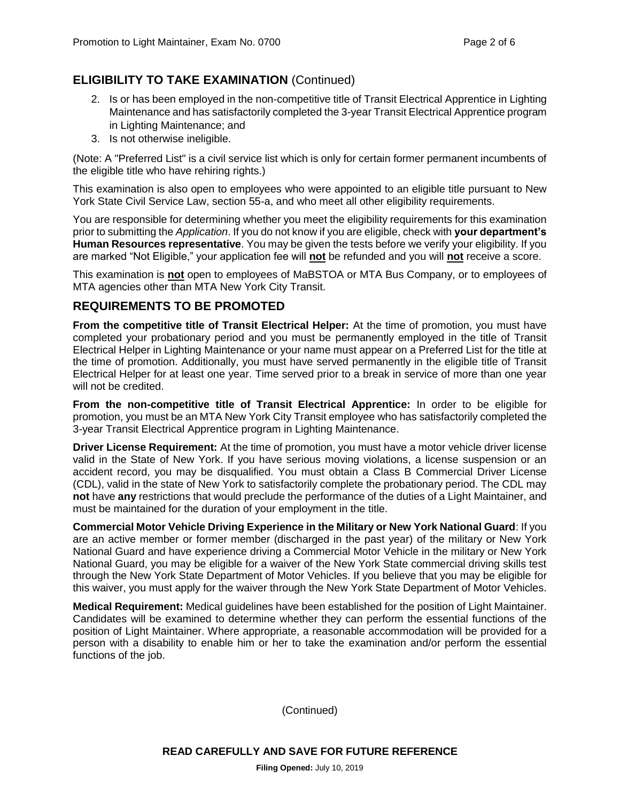# **ELIGIBILITY TO TAKE EXAMINATION** (Continued)

- 2. Is or has been employed in the non-competitive title of Transit Electrical Apprentice in Lighting Maintenance and has satisfactorily completed the 3-year Transit Electrical Apprentice program in Lighting Maintenance; and
- 3. Is not otherwise ineligible.

(Note: A "Preferred List" is a civil service list which is only for certain former permanent incumbents of the eligible title who have rehiring rights.)

This examination is also open to employees who were appointed to an eligible title pursuant to New York State Civil Service Law, section 55-a, and who meet all other eligibility requirements.

You are responsible for determining whether you meet the eligibility requirements for this examination prior to submitting the *Application*. If you do not know if you are eligible, check with **your department's Human Resources representative**. You may be given the tests before we verify your eligibility. If you are marked "Not Eligible," your application fee will **not** be refunded and you will **not** receive a score.

This examination is **not** open to employees of MaBSTOA or MTA Bus Company, or to employees of MTA agencies other than MTA New York City Transit.

## **REQUIREMENTS TO BE PROMOTED**

**From the competitive title of Transit Electrical Helper:** At the time of promotion, you must have completed your probationary period and you must be permanently employed in the title of Transit Electrical Helper in Lighting Maintenance or your name must appear on a Preferred List for the title at the time of promotion. Additionally, you must have served permanently in the eligible title of Transit Electrical Helper for at least one year. Time served prior to a break in service of more than one year will not be credited.

**From the non-competitive title of Transit Electrical Apprentice:** In order to be eligible for promotion, you must be an MTA New York City Transit employee who has satisfactorily completed the 3-year Transit Electrical Apprentice program in Lighting Maintenance.

**Driver License Requirement:** At the time of promotion, you must have a motor vehicle driver license valid in the State of New York. If you have serious moving violations, a license suspension or an accident record, you may be disqualified. You must obtain a Class B Commercial Driver License (CDL), valid in the state of New York to satisfactorily complete the probationary period. The CDL may **not** have **any** restrictions that would preclude the performance of the duties of a Light Maintainer, and must be maintained for the duration of your employment in the title.

**Commercial Motor Vehicle Driving Experience in the Military or New York National Guard**: If you are an active member or former member (discharged in the past year) of the military or New York National Guard and have experience driving a Commercial Motor Vehicle in the military or New York National Guard, you may be eligible for a waiver of the New York State commercial driving skills test through the New York State Department of Motor Vehicles. If you believe that you may be eligible for this waiver, you must apply for the waiver through the New York State Department of Motor Vehicles.

**Medical Requirement:** Medical guidelines have been established for the position of Light Maintainer. Candidates will be examined to determine whether they can perform the essential functions of the position of Light Maintainer. Where appropriate, a reasonable accommodation will be provided for a person with a disability to enable him or her to take the examination and/or perform the essential functions of the job.

(Continued)

**READ CAREFULLY AND SAVE FOR FUTURE REFERENCE**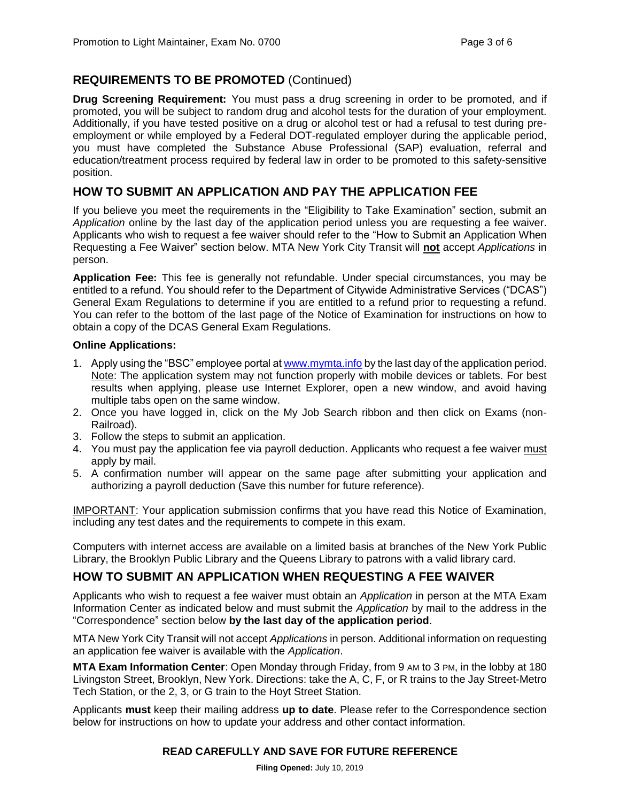# **REQUIREMENTS TO BE PROMOTED** (Continued)

**Drug Screening Requirement:** You must pass a drug screening in order to be promoted, and if promoted, you will be subject to random drug and alcohol tests for the duration of your employment. Additionally, if you have tested positive on a drug or alcohol test or had a refusal to test during preemployment or while employed by a Federal DOT-regulated employer during the applicable period, you must have completed the Substance Abuse Professional (SAP) evaluation, referral and education/treatment process required by federal law in order to be promoted to this safety-sensitive position.

# **HOW TO SUBMIT AN APPLICATION AND PAY THE APPLICATION FEE**

If you believe you meet the requirements in the "Eligibility to Take Examination" section, submit an *Application* online by the last day of the application period unless you are requesting a fee waiver. Applicants who wish to request a fee waiver should refer to the "How to Submit an Application When Requesting a Fee Waiver" section below. MTA New York City Transit will **not** accept *Applications* in person.

**Application Fee:** This fee is generally not refundable. Under special circumstances, you may be entitled to a refund. You should refer to the Department of Citywide Administrative Services ("DCAS") General Exam Regulations to determine if you are entitled to a refund prior to requesting a refund. You can refer to the bottom of the last page of the Notice of Examination for instructions on how to obtain a copy of the DCAS General Exam Regulations.

#### **Online Applications:**

- 1. Apply using the "BSC" employee portal a[t www.mymta.info](http://www.mymta.info/) by the last day of the application period. Note: The application system may not function properly with mobile devices or tablets. For best results when applying, please use Internet Explorer, open a new window, and avoid having multiple tabs open on the same window.
- 2. Once you have logged in, click on the My Job Search ribbon and then click on Exams (non-Railroad).
- 3. Follow the steps to submit an application.
- 4. You must pay the application fee via payroll deduction. Applicants who request a fee waiver must apply by mail.
- 5. A confirmation number will appear on the same page after submitting your application and authorizing a payroll deduction (Save this number for future reference).

IMPORTANT: Your application submission confirms that you have read this Notice of Examination, including any test dates and the requirements to compete in this exam.

Computers with internet access are available on a limited basis at branches of the New York Public Library, the Brooklyn Public Library and the Queens Library to patrons with a valid library card.

# **HOW TO SUBMIT AN APPLICATION WHEN REQUESTING A FEE WAIVER**

Applicants who wish to request a fee waiver must obtain an *Application* in person at the MTA Exam Information Center as indicated below and must submit the *Application* by mail to the address in the "Correspondence" section below **by the last day of the application period**.

MTA New York City Transit will not accept *Applications* in person. Additional information on requesting an application fee waiver is available with the *Application*.

**MTA Exam Information Center**: Open Monday through Friday, from 9 AM to 3 PM, in the lobby at 180 Livingston Street, Brooklyn, New York. Directions: take the A, C, F, or R trains to the Jay Street-Metro Tech Station, or the 2, 3, or G train to the Hoyt Street Station.

Applicants **must** keep their mailing address **up to date**. Please refer to the Correspondence section below for instructions on how to update your address and other contact information.

#### **READ CAREFULLY AND SAVE FOR FUTURE REFERENCE**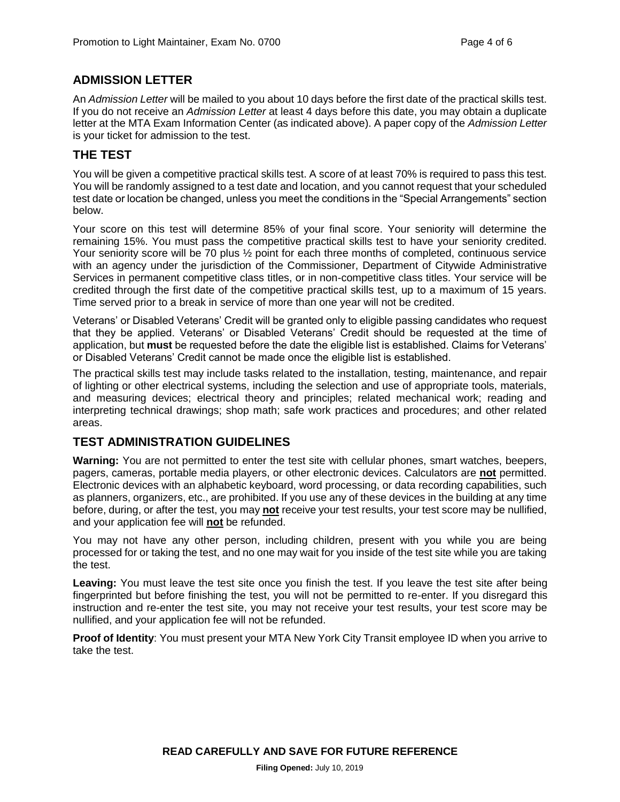# **ADMISSION LETTER**

An *Admission Letter* will be mailed to you about 10 days before the first date of the practical skills test. If you do not receive an *Admission Letter* at least 4 days before this date, you may obtain a duplicate letter at the MTA Exam Information Center (as indicated above). A paper copy of the *Admission Letter* is your ticket for admission to the test.

## **THE TEST**

You will be given a competitive practical skills test. A score of at least 70% is required to pass this test. You will be randomly assigned to a test date and location, and you cannot request that your scheduled test date or location be changed, unless you meet the conditions in the "Special Arrangements" section below.

Your score on this test will determine 85% of your final score. Your seniority will determine the remaining 15%. You must pass the competitive practical skills test to have your seniority credited. Your seniority score will be 70 plus ½ point for each three months of completed, continuous service with an agency under the jurisdiction of the Commissioner, Department of Citywide Administrative Services in permanent competitive class titles, or in non-competitive class titles. Your service will be credited through the first date of the competitive practical skills test, up to a maximum of 15 years. Time served prior to a break in service of more than one year will not be credited.

Veterans' or Disabled Veterans' Credit will be granted only to eligible passing candidates who request that they be applied. Veterans' or Disabled Veterans' Credit should be requested at the time of application, but **must** be requested before the date the eligible list is established. Claims for Veterans' or Disabled Veterans' Credit cannot be made once the eligible list is established.

The practical skills test may include tasks related to the installation, testing, maintenance, and repair of lighting or other electrical systems, including the selection and use of appropriate tools, materials, and measuring devices; electrical theory and principles; related mechanical work; reading and interpreting technical drawings; shop math; safe work practices and procedures; and other related areas.

# **TEST ADMINISTRATION GUIDELINES**

**Warning:** You are not permitted to enter the test site with cellular phones, smart watches, beepers, pagers, cameras, portable media players, or other electronic devices. Calculators are **not** permitted. Electronic devices with an alphabetic keyboard, word processing, or data recording capabilities, such as planners, organizers, etc., are prohibited. If you use any of these devices in the building at any time before, during, or after the test, you may **not** receive your test results, your test score may be nullified, and your application fee will **not** be refunded.

You may not have any other person, including children, present with you while you are being processed for or taking the test, and no one may wait for you inside of the test site while you are taking the test.

**Leaving:** You must leave the test site once you finish the test. If you leave the test site after being fingerprinted but before finishing the test, you will not be permitted to re-enter. If you disregard this instruction and re-enter the test site, you may not receive your test results, your test score may be nullified, and your application fee will not be refunded.

**Proof of Identity**: You must present your MTA New York City Transit employee ID when you arrive to take the test.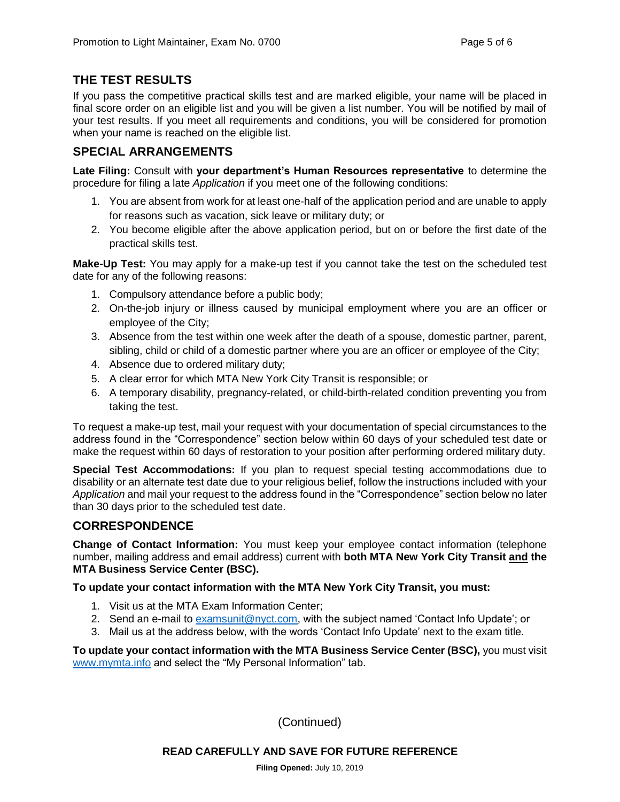# **THE TEST RESULTS**

If you pass the competitive practical skills test and are marked eligible, your name will be placed in final score order on an eligible list and you will be given a list number. You will be notified by mail of your test results. If you meet all requirements and conditions, you will be considered for promotion when your name is reached on the eligible list.

# **SPECIAL ARRANGEMENTS**

**Late Filing:** Consult with **your department's Human Resources representative** to determine the procedure for filing a late *Application* if you meet one of the following conditions:

- 1. You are absent from work for at least one-half of the application period and are unable to apply for reasons such as vacation, sick leave or military duty; or
- 2. You become eligible after the above application period, but on or before the first date of the practical skills test.

**Make-Up Test:** You may apply for a make-up test if you cannot take the test on the scheduled test date for any of the following reasons:

- 1. Compulsory attendance before a public body;
- 2. On-the-job injury or illness caused by municipal employment where you are an officer or employee of the City;
- 3. Absence from the test within one week after the death of a spouse, domestic partner, parent, sibling, child or child of a domestic partner where you are an officer or employee of the City;
- 4. Absence due to ordered military duty;
- 5. A clear error for which MTA New York City Transit is responsible; or
- 6. A temporary disability, pregnancy-related, or child-birth-related condition preventing you from taking the test.

To request a make-up test, mail your request with your documentation of special circumstances to the address found in the "Correspondence" section below within 60 days of your scheduled test date or make the request within 60 days of restoration to your position after performing ordered military duty.

**Special Test Accommodations:** If you plan to request special testing accommodations due to disability or an alternate test date due to your religious belief, follow the instructions included with your *Application* and mail your request to the address found in the "Correspondence" section below no later than 30 days prior to the scheduled test date.

# **CORRESPONDENCE**

**Change of Contact Information:** You must keep your employee contact information (telephone number, mailing address and email address) current with **both MTA New York City Transit and the MTA Business Service Center (BSC).**

#### **To update your contact information with the MTA New York City Transit, you must:**

- 1. Visit us at the MTA Exam Information Center;
- 2. Send an e-mail to [examsunit@nyct.com,](mailto:examsunit@nyct.com) with the subject named 'Contact Info Update'; or
- 3. Mail us at the address below, with the words 'Contact Info Update' next to the exam title.

**To update your contact information with the MTA Business Service Center (BSC),** you must visit [www.mymta.info](http://www.mymta.info/) and select the "My Personal Information" tab.

(Continued)